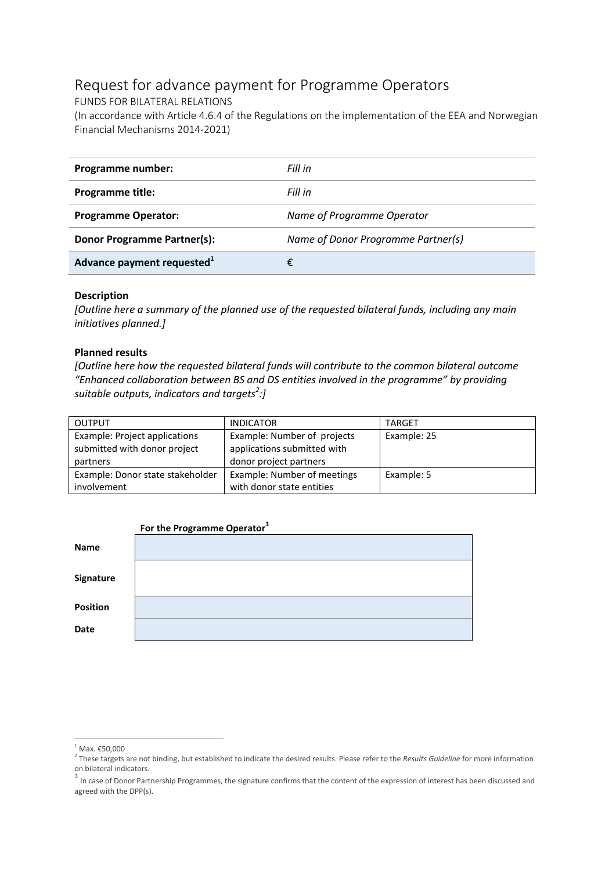# Request for advance payment for Programme Operators

FUNDS FOR BILATERAL RELATIONS

(In accordance with Article 4.6.4 of the Regulations on the implementation of the EEA and Norwegian Financial Mechanisms 2014-2021)

| Programme number:                      | Fill in                            |
|----------------------------------------|------------------------------------|
| <b>Programme title:</b>                | Fill in                            |
| <b>Programme Operator:</b>             | Name of Programme Operator         |
| <b>Donor Programme Partner(s):</b>     | Name of Donor Programme Partner(s) |
| Advance payment requested <sup>1</sup> |                                    |

#### **Description**

*[Outline here a summary of the planned use of the requested bilateral funds, including any main initiatives planned.]*

#### **Planned results**

*[Outline here how the requested bilateral funds will contribute to the common bilateral outcome "Enhanced collaboration between BS and DS entities involved in the programme" by providing suitable outputs, indicators and targets<sup>2</sup> :]*

| <b>OUTPUT</b>                    | <b>INDICATOR</b>            | <b>TARGET</b> |
|----------------------------------|-----------------------------|---------------|
| Example: Project applications    | Example: Number of projects | Example: 25   |
| submitted with donor project     | applications submitted with |               |
| partners                         | donor project partners      |               |
| Example: Donor state stakeholder | Example: Number of meetings | Example: 5    |
| involvement                      | with donor state entities   |               |

|                 | For the Programme Operator <sup>3</sup> |  |
|-----------------|-----------------------------------------|--|
| Name            |                                         |  |
| Signature       |                                         |  |
| <b>Position</b> |                                         |  |
| <b>Date</b>     |                                         |  |

<sup>1</sup>  $1$  Max. €50,000

<sup>2</sup> These targets are not binding, but established to indicate the desired results. Please refer to the *Results Guideline* for more information on bilateral indicators.

<sup>&</sup>lt;sup>3</sup> In case of Donor Partnership Programmes, the signature confirms that the content of the expression of interest has been discussed and agreed with the DPP(s).